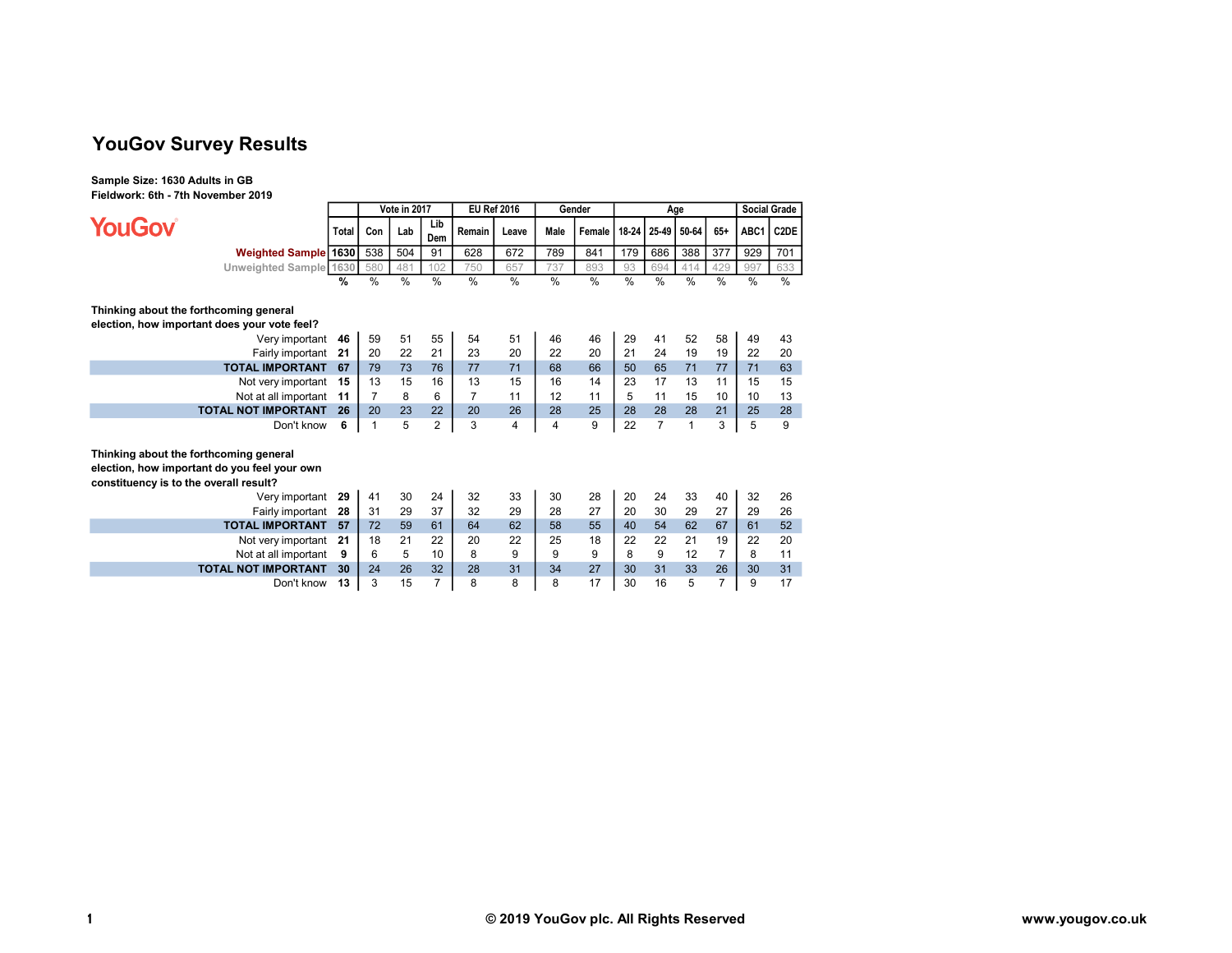# YouGov Survey Results

Sample Size: 1630 Adults in GB Fieldwork: 6th - 7th November 2019

**YouGov** 

|                        |       |     | Vote in 2017 |            |        | <b>EU Ref 2016</b> |      | Gender                     |      | Age | <b>Social Grade</b> |               |               |      |
|------------------------|-------|-----|--------------|------------|--------|--------------------|------|----------------------------|------|-----|---------------------|---------------|---------------|------|
|                        | Total | Con | Lab          | Lib<br>Dem | Remain | Leave              | Male | Female 1 18-24 25-49 50-64 |      |     |                     | 65+           | ABC1 C2DE     |      |
| Weighted Sample 1630   |       | 538 | 504          | 91         | 628    | 672                | 789  | 841                        | 179  | 686 | 388                 | 377           | 929           | 701  |
| Unweighted Sample 1630 |       | 580 | 481          | 102        | 750    | 657                | 737  | 893                        | 93   | 694 | $\Delta$ 1          | 429           | 997           | 633  |
|                        | %     | %   | %            | $\%$       | %      | %                  | %    | $\%$                       | $\%$ | %   | %                   | $\frac{0}{0}$ | $\frac{0}{0}$ | $\%$ |

## Thinking about the forthcoming general

election, how important does your vote feel?

| Very important 46          |    | 59 | 51 | 55 | 54 | 51 | 46 | 46 | 29 | 41 | 52 | 58 | 49 | 43 |
|----------------------------|----|----|----|----|----|----|----|----|----|----|----|----|----|----|
| Fairly important 21        |    | 20 | 22 | 21 | 23 | 20 | 22 | 20 |    | 24 | 19 | 19 | 22 | 20 |
| <b>TOTAL IMPORTANT</b>     | 67 | 79 | 73 | 76 |    |    | 68 | 66 | 50 | 65 |    |    |    | 63 |
| Not very important 15      |    | 13 | 15 | 16 | 13 | 15 | 16 | 14 | 23 |    |    |    | 15 | 15 |
| Not at all important 11    |    |    |    |    |    |    | 12 |    |    |    | 15 |    | 10 | 13 |
| <b>TOTAL NOT IMPORTANT</b> | 26 | 20 | 23 | 22 | 20 | 26 | 28 | 25 | 28 | 28 | 28 | 21 | 25 | 28 |
| Don't know                 |    |    |    |    |    |    |    |    |    |    |    |    |    |    |

## Thinking about the forthcoming general

election, how important do you feel your own

constituency is to the overall result?

| Very important             | 29 | 41 | 30 | 24 | 32 | 33 | 30 | 28 | 20 | 24 | 33 | 40 | 32 | 26 |
|----------------------------|----|----|----|----|----|----|----|----|----|----|----|----|----|----|
| Fairly important           | 28 | 31 | 29 | 37 | 32 | 29 | 28 | 27 | 20 | 30 | 29 | 27 | 29 | 26 |
| <b>TOTAL IMPORTANT</b>     | 57 | 72 | 59 | 61 | 64 | 62 | 58 | 55 | 40 | 54 | 62 | 67 | 61 | 52 |
| Not very important 21      |    | 18 | 21 | 22 | 20 | 22 | 25 | 18 | 22 | 22 | 21 | 19 | 22 | 20 |
| Not at all important       | 9  |    |    | 10 |    |    |    |    |    |    |    |    |    |    |
| <b>TOTAL NOT IMPORTANT</b> | 30 | 24 | 26 | 32 | 28 | 31 | 34 | 27 | 30 | 31 | 33 | 26 | 30 | 31 |
| Don't know                 |    |    | 15 |    |    |    |    |    | 30 | 16 | b  |    |    | 17 |